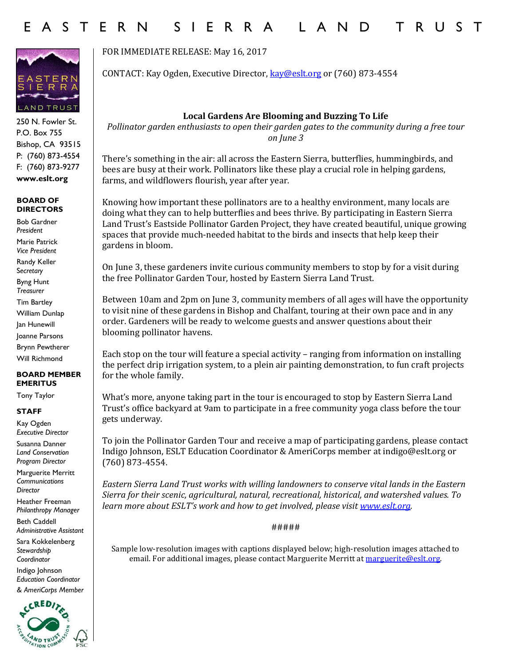# E A S T E R N S I E R R A L A N D T R U S T



250 N. Fowler St. P.O. Box 755 Bishop, CA 93515 P: (760) 873-4554 F: (760) 873-9277 **www.eslt.org**

#### **BOARD OF DIRECTORS**

Bob Gardner *President* Marie Patrick *Vice President* Randy Keller S*ecretary* Byng Hunt *Treasurer* Tim Bartley William Dunlap Jan Hunewill Joanne Parsons Brynn Pewtherer Will Richmond

#### **BOARD MEMBER EMERITUS**

Tony Taylor

### **STAFF**

Kay Ogden *Executive Director*

Susanna Danner *Land Conservation Program Director*

Marguerite Merritt *Communications Director*

Heather Freeman *Philanthropy Manager*

Beth Caddell *Administrative Assistant* 

Sara Kokkelenberg *Stewardship Coordinator* 

Indigo Johnson *Education Coordinator & AmeriCorps Member*



FOR IMMEDIATE RELEASE: May 16, 2017

CONTACT: Kay Ogden, Executive Director, [kay@eslt.org](mailto:kay@eslt.org) or (760) 873-4554

## **Local Gardens Are Blooming and Buzzing To Life**

*Pollinator garden enthusiasts to open their garden gates to the community during a free tour on June 3* 

There's something in the air: all across the Eastern Sierra, butterflies, hummingbirds, and bees are busy at their work. Pollinators like these play a crucial role in helping gardens, farms, and wildflowers flourish, year after year.

Knowing how important these pollinators are to a healthy environment, many locals are doing what they can to help butterflies and bees thrive. By participating in Eastern Sierra Land Trust's Eastside Pollinator Garden Project, they have created beautiful, unique growing spaces that provide much-needed habitat to the birds and insects that help keep their gardens in bloom.

On June 3, these gardeners invite curious community members to stop by for a visit during the free Pollinator Garden Tour, hosted by Eastern Sierra Land Trust.

Between 10am and 2pm on June 3, community members of all ages will have the opportunity to visit nine of these gardens in Bishop and Chalfant, touring at their own pace and in any order. Gardeners will be ready to welcome guests and answer questions about their blooming pollinator havens.

Each stop on the tour will feature a special activity – ranging from information on installing the perfect drip irrigation system, to a plein air painting demonstration, to fun craft projects for the whole family.

What's more, anyone taking part in the tour is encouraged to stop by Eastern Sierra Land Trust's office backyard at 9am to participate in a free community yoga class before the tour gets underway.

To join the Pollinator Garden Tour and receive a map of participating gardens, please contact Indigo Johnson, ESLT Education Coordinator & AmeriCorps member at indigo@eslt.org or (760) 873-4554.

*Eastern Sierra Land Trust works with willing landowners to conserve vital lands in the Eastern Sierra for their scenic, agricultural, natural, recreational, historical, and watershed values. To learn more about ESLT's work and how to get involved, please visit [www.eslt.org.](http://www.eslt.org/)*

#####

Sample low-resolution images with captions displayed below; high-resolution images attached to email. For additional images, please contact Marguerite Merritt at [marguerite@eslt.org.](mailto:marguerite@eslt.org)